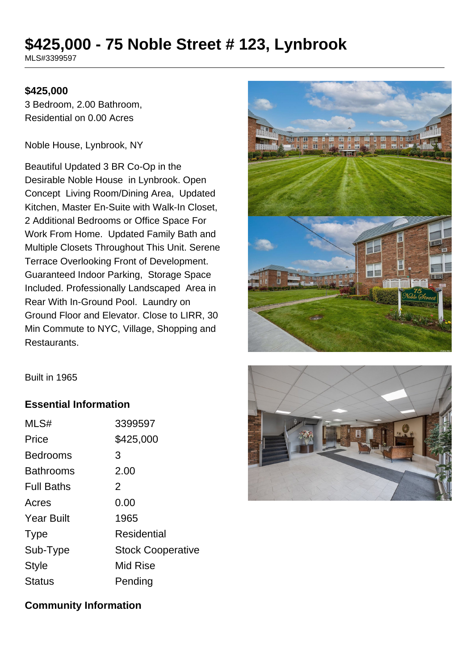# **\$425,000 - 75 Noble Street # 123, Lynbrook**

MLS#3399597

#### **\$425,000**

3 Bedroom, 2.00 Bathroom, Residential on 0.00 Acres

Noble House, Lynbrook, NY

Beautiful Updated 3 BR Co-Op in the Desirable Noble House in Lynbrook. Open Concept Living Room/Dining Area, Updated Kitchen, Master En-Suite with Walk-In Closet, 2 Additional Bedrooms or Office Space For Work From Home. Updated Family Bath and Multiple Closets Throughout This Unit. Serene Terrace Overlooking Front of Development. Guaranteed Indoor Parking, Storage Space Included. Professionally Landscaped Area in Rear With In-Ground Pool. Laundry on Ground Floor and Elevator. Close to LIRR, 30 Min Commute to NYC, Village, Shopping and Restaurants.



Built in 1965

#### **Essential Information**

| MLS#              | 3399597                  |
|-------------------|--------------------------|
| Price             | \$425,000                |
| <b>Bedrooms</b>   | 3                        |
| <b>Bathrooms</b>  | 2.00                     |
| <b>Full Baths</b> | 2                        |
| Acres             | 0.00                     |
| <b>Year Built</b> | 1965                     |
| <b>Type</b>       | Residential              |
| Sub-Type          | <b>Stock Cooperative</b> |
| Style             | <b>Mid Rise</b>          |
| Status            | Pending                  |



#### **Community Information**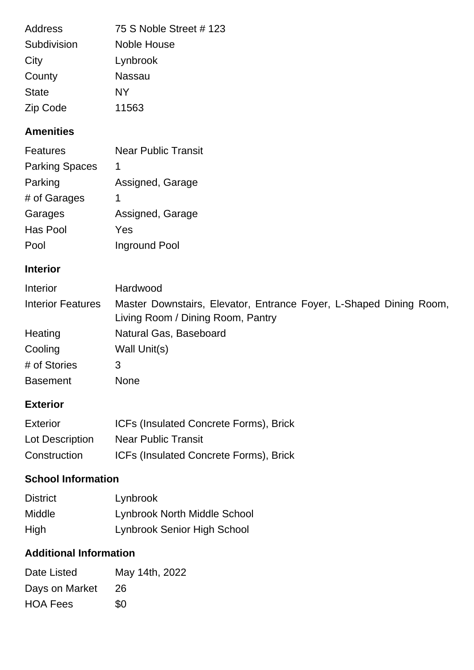| <b>Address</b> | 75 S Noble Street #123 |
|----------------|------------------------|
| Subdivision    | <b>Noble House</b>     |
| City           | Lynbrook               |
| County         | Nassau                 |
| <b>State</b>   | NΥ                     |
| Zip Code       | 11563                  |

## **Amenities**

| <b>Features</b>       | <b>Near Public Transit</b> |
|-----------------------|----------------------------|
| <b>Parking Spaces</b> | 1                          |
| Parking               | Assigned, Garage           |
| # of Garages          | 1                          |
| Garages               | Assigned, Garage           |
| Has Pool              | Yes                        |
| Pool                  | Inground Pool              |

## **Interior**

| Interior                 | Hardwood                                                                                                |
|--------------------------|---------------------------------------------------------------------------------------------------------|
| <b>Interior Features</b> | Master Downstairs, Elevator, Entrance Foyer, L-Shaped Dining Room,<br>Living Room / Dining Room, Pantry |
| Heating                  | Natural Gas, Baseboard                                                                                  |
| Cooling                  | Wall Unit(s)                                                                                            |
| # of Stories             | 3                                                                                                       |
| <b>Basement</b>          | <b>None</b>                                                                                             |

### **Exterior**

| <b>Exterior</b> | <b>ICFs (Insulated Concrete Forms), Brick</b> |
|-----------------|-----------------------------------------------|
| Lot Description | <b>Near Public Transit</b>                    |
| Construction    | <b>ICFs (Insulated Concrete Forms), Brick</b> |

# **School Information**

| <b>District</b> | Lynbrook                            |
|-----------------|-------------------------------------|
| <b>Middle</b>   | <b>Lynbrook North Middle School</b> |
| High            | Lynbrook Senior High School         |

# **Additional Information**

| Date Listed     | May 14th, 2022 |
|-----------------|----------------|
| Days on Market  | 26             |
| <b>HOA Fees</b> | \$0            |